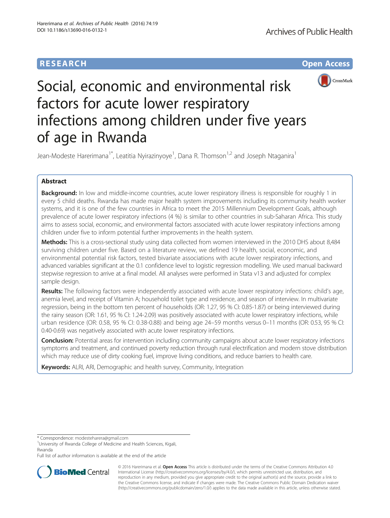# **RESEARCH CHE Open Access**



# Social, economic and environmental risk factors for acute lower respiratory infections among children under five years of age in Rwanda

Jean-Modeste Harerimana<sup>1\*</sup>, Leatitia Nyirazinyoye<sup>1</sup>, Dana R. Thomson<sup>1,2</sup> and Joseph Ntaganira<sup>1</sup>

# Abstract

Background: In low and middle-income countries, acute lower respiratory illness is responsible for roughly 1 in every 5 child deaths. Rwanda has made major health system improvements including its community health worker systems, and it is one of the few countries in Africa to meet the 2015 Millennium Development Goals, although prevalence of acute lower respiratory infections (4 %) is similar to other countries in sub-Saharan Africa. This study aims to assess social, economic, and environmental factors associated with acute lower respiratory infections among children under five to inform potential further improvements in the health system.

Methods: This is a cross-sectional study using data collected from women interviewed in the 2010 DHS about 8,484 surviving children under five. Based on a literature review, we defined 19 health, social, economic, and environmental potential risk factors, tested bivariate associations with acute lower respiratory infections, and advanced variables significant at the 0.1 confidence level to logistic regression modelling. We used manual backward stepwise regression to arrive at a final model. All analyses were performed in Stata v13 and adjusted for complex sample design.

Results: The following factors were independently associated with acute lower respiratory infections: child's age, anemia level, and receipt of Vitamin A; household toilet type and residence, and season of interview. In multivariate regression, being in the bottom ten percent of households (OR: 1.27, 95 % CI: 0.85-1.87) or being interviewed during the rainy season (OR: 1.61, 95 % CI: 1.24-2.09) was positively associated with acute lower respiratory infections, while urban residence (OR: 0.58, 95 % CI: 0.38-0.88) and being age 24–59 months versus 0–11 months (OR: 0.53, 95 % CI: 0.40-0.69) was negatively associated with acute lower respiratory infections.

**Conclusion:** Potential areas for intervention including community campaigns about acute lower respiratory infections symptoms and treatment, and continued poverty reduction through rural electrification and modern stove distribution which may reduce use of dirty cooking fuel, improve living conditions, and reduce barriers to health care.

Keywords: ALRI, ARI, Demographic and health survey, Community, Integration

Full list of author information is available at the end of the article



© 2016 Harerimana et al. Open Access This article is distributed under the terms of the Creative Commons Attribution 4.0 International License [\(http://creativecommons.org/licenses/by/4.0/](http://creativecommons.org/licenses/by/4.0/)), which permits unrestricted use, distribution, and reproduction in any medium, provided you give appropriate credit to the original author(s) and the source, provide a link to the Creative Commons license, and indicate if changes were made. The Creative Commons Public Domain Dedication waiver [\(http://creativecommons.org/publicdomain/zero/1.0/](http://creativecommons.org/publicdomain/zero/1.0/)) applies to the data made available in this article, unless otherwise stated.

<sup>\*</sup> Correspondence: [modesteharera@gmail.com](mailto:modesteharera@gmail.com) <sup>1</sup>

<sup>&</sup>lt;sup>1</sup>University of Rwanda College of Medicine and Health Sciences, Kigali, Rwanda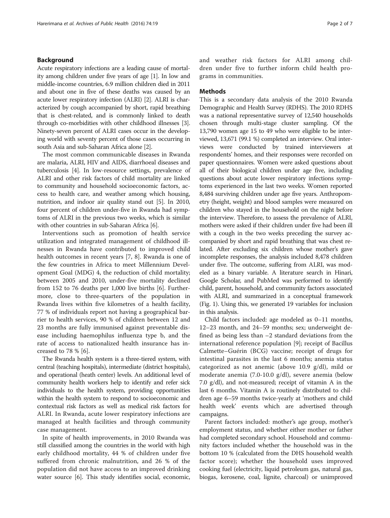## Background

Acute respiratory infections are a leading cause of mortality among children under five years of age [\[1](#page-6-0)]. In low and middle-income countries, 6.9 million children died in 2011 and about one in five of these deaths was caused by an acute lower respiratory infection (ALRI) [\[2\]](#page-6-0). ALRI is characterized by cough accompanied by short, rapid breathing that is chest-related, and is commonly linked to death through co-morbidities with other childhood illnesses [[3](#page-6-0)]. Ninety-seven percent of ALRI cases occur in the developing world with seventy percent of those cases occurring in south Asia and sub-Saharan Africa alone [[2\]](#page-6-0).

The most common communicable diseases in Rwanda are malaria, ALRI, HIV and AIDS, diarrhoeal diseases and tuberculosis [[4\]](#page-6-0). In low-resource settings, prevalence of ALRI and other risk factors of child mortality are linked to community and household socioeconomic factors, access to health care, and weather among which housing, nutrition, and indoor air quality stand out [[5\]](#page-6-0). In 2010, four percent of children under-five in Rwanda had symptoms of ALRI in the previous two weeks, which is similar with other countries in sub-Saharan Africa [[6](#page-6-0)].

Interventions such as promotion of health service utilization and integrated management of childhood illnesses in Rwanda have contributed to improved child health outcomes in recent years [\[7](#page-6-0), [8](#page-6-0)]. Rwanda is one of the few countries in Africa to meet Millennium Development Goal (MDG) 4, the reduction of child mortality; between 2005 and 2010, under-five mortality declined from 152 to 76 deaths per 1,000 live births [[6\]](#page-6-0). Furthermore, close to three-quarters of the population in Rwanda lives within five kilometres of a health facility, 77 % of individuals report not having a geographical barrier to health services, 90 % of children between 12 and 23 months are fully immunised against preventable disease including haemophilus influenza type b, and the rate of access to nationalized health insurance has increased to 78 % [[6\]](#page-6-0).

The Rwanda health system is a three-tiered system, with central (teaching hospitals), intermediate (district hospitals), and operational (heath center) levels. An additional level of community health workers help to identify and refer sick individuals to the health system, providing opportunities within the health system to respond to socioeconomic and contextual risk factors as well as medical risk factors for ALRI. In Rwanda, acute lower respiratory infections are managed at health facilities and through community case management.

In spite of health improvements, in 2010 Rwanda was still classified among the countries in the world with high early childhood mortality, 44 % of children under five suffered from chronic malnutrition, and 26 % of the population did not have access to an improved drinking water source [\[6\]](#page-6-0). This study identifies social, economic, and weather risk factors for ALRI among children under five to further inform child health programs in communities.

### **Methods**

This is a secondary data analysis of the 2010 Rwanda Demographic and Health Survey (RDHS). The 2010 RDHS was a national representative survey of 12,540 households chosen through multi-stage cluster sampling. Of the 13,790 women age 15 to 49 who were eligible to be interviewed, 13,671 (99.1 %) completed an interview. Oral interviews were conducted by trained interviewers at respondents' homes, and their responses were recorded on paper questionnaires. Women were asked questions about all of their biological children under age five, including questions about acute lower respiratory infections symptoms experienced in the last two weeks. Women reported 8,484 surviving children under age five years. Anthropometry (height, weight) and blood samples were measured on children who stayed in the household on the night before the interview. Therefore, to assess the prevalence of ALRI, mothers were asked if their children under five had been ill with a cough in the two weeks preceding the survey accompanied by short and rapid breathing that was chest related. After excluding six children whose mother's gave incomplete responses, the analysis included 8,478 children under five. The outcome, suffering from ALRI, was modeled as a binary variable. A literature search in Hinari, Google Scholar, and PubMed was performed to identify child, parent, household, and community factors associated with ALRI, and summarized in a conceptual framework (Fig. [1](#page-2-0)). Using this, we generated 19 variables for inclusion in this analysis.

Child factors included: age modeled as 0–11 months, 12–23 month, and 24–59 months; sex; underweight defined as being less than –2 standard deviations from the international reference population [\[9](#page-6-0)]; receipt of Bacillus Calmette–Guérin (BCG) vaccine; receipt of drugs for intestinal parasites in the last 6 months; anemia status categorized as not anemic (above 10.9 g/dl), mild or moderate anemia (7.0-10.0 g/dl), severe anemia (below 7.0 g/dl), and not-measured; receipt of vitamin A in the last 6 months. Vitamin A is routinely distributed to children age 6–59 months twice-yearly at 'mothers and child health week' events which are advertised through campaigns.

Parent factors included: mother's age group, mother's employment status, and whether either mother or father had completed secondary school. Household and community factors included whether the household was in the bottom 10 % (calculated from the DHS household wealth factor score); whether the household uses improved cooking fuel (electricity, liquid petroleum gas, natural gas, biogas, kerosene, coal, lignite, charcoal) or unimproved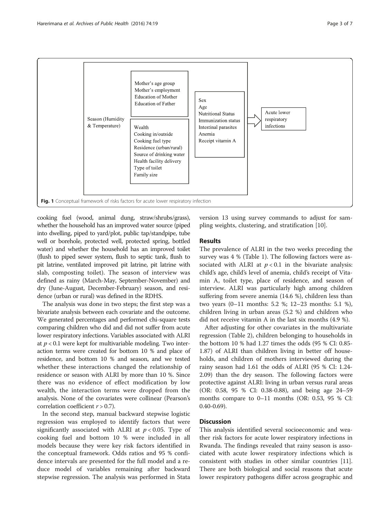<span id="page-2-0"></span>

cooking fuel (wood, animal dung, straw/shrubs/grass), whether the household has an improved water source (piped into dwelling, piped to yard/plot, public tap/standpipe, tube well or borehole, protected well, protected spring, bottled water) and whether the household has an improved toilet (flush to piped sewer system, flush to septic tank, flush to pit latrine, ventilated improved pit latrine, pit latrine with slab, composting toilet). The season of interview was defined as rainy (March-May, September-November) and dry (June-August, December-February) season, and residence (urban or rural) was defined in the RDHS.

The analysis was done in two steps; the first step was a bivariate analysis between each covariate and the outcome. We generated percentages and performed chi-square tests comparing children who did and did not suffer from acute lower respiratory infections. Variables associated with ALRI at  $p < 0.1$  were kept for multivariable modeling. Two interaction terms were created for bottom 10 % and place of residence, and bottom 10 % and season, and we tested whether these interactions changed the relationship of residence or season with ALRI by more than 10 %. Since there was no evidence of effect modification by low wealth, the interaction terms were dropped from the analysis. None of the covariates were collinear (Pearson's correlation coefficient  $r > 0.7$ ).

In the second step, manual backward stepwise logistic regression was employed to identify factors that were significantly associated with ALRI at  $p < 0.05$ . Type of cooking fuel and bottom 10 % were included in all models because they were key risk factors identified in the conceptual framework. Odds ratios and 95 % confidence intervals are presented for the full model and a reduce model of variables remaining after backward stepwise regression. The analysis was performed in Stata version 13 using survey commands to adjust for sampling weights, clustering, and stratification [[10\]](#page-6-0).

## Results

The prevalence of ALRI in the two weeks preceding the survey was 4 % (Table [1](#page-3-0)). The following factors were associated with ALRI at  $p < 0.1$  in the bivariate analysis: child's age, child's level of anemia, child's receipt of Vitamin A, toilet type, place of residence, and season of interview. ALRI was particularly high among children suffering from severe anemia (14.6 %), children less than two years (0–11 months: 5.2 %; 12–23 months: 5.1 %), children living in urban areas (5.2 %) and children who did not receive vitamin A in the last six months (4.9 %).

After adjusting for other covariates in the multivariate regression (Table [2\)](#page-5-0), children belonging to households in the bottom 10 % had 1.27 times the odds (95 % CI: 0.85- 1.87) of ALRI than children living in better off households, and children of mothers interviewed during the rainy season had 1.61 the odds of ALRI (95 % CI: 1.24- 2.09) than the dry season. The following factors were protective against ALRI: living in urban versus rural areas (OR: 0.58, 95 % CI: 0.38-0.88), and being age 24–59 months compare to 0–11 months (OR: 0.53, 95 % CI: 0.40-0.69).

## **Discussion**

This analysis identified several socioeconomic and weather risk factors for acute lower respiratory infections in Rwanda. The findings revealed that rainy season is associated with acute lower respiratory infections which is consistent with studies in other similar countries [\[11](#page-6-0)]. There are both biological and social reasons that acute lower respiratory pathogens differ across geographic and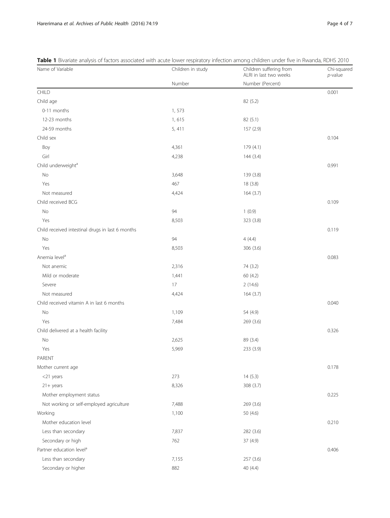| Name of Variable                                 | Children in study<br>Number | Children suffering from<br>ALRI in last two weeks<br>Number (Percent) | Chi-squared<br>$p$ -value |
|--------------------------------------------------|-----------------------------|-----------------------------------------------------------------------|---------------------------|
|                                                  |                             |                                                                       |                           |
| Child age                                        |                             | 82 (5.2)                                                              |                           |
| 0-11 months                                      | 1,573                       |                                                                       |                           |
| 12-23 months                                     | 1,615                       | 82 (5.1)                                                              |                           |
| 24-59 months                                     | 5, 411                      | 157 (2.9)                                                             |                           |
| Child sex                                        |                             |                                                                       | 0.104                     |
| Boy                                              | 4,361                       | 179 (4.1)                                                             |                           |
| Girl                                             | 4,238                       | 144(3.4)                                                              |                           |
| Child underweight <sup>a</sup>                   |                             |                                                                       | 0.991                     |
| No                                               | 3,648                       | 139 (3.8)                                                             |                           |
| Yes                                              | 467                         | 18(3.8)                                                               |                           |
| Not measured                                     | 4,424                       | 164(3.7)                                                              |                           |
| Child received BCG                               |                             |                                                                       | 0.109                     |
| No                                               | 94                          | 1(0.9)                                                                |                           |
| Yes                                              | 8,503                       | 323 (3.8)                                                             |                           |
| Child received intestinal drugs in last 6 months |                             |                                                                       | 0.119                     |
| No                                               | 94                          | 4(4.4)                                                                |                           |
| Yes                                              | 8,503                       | 306 (3.6)                                                             |                           |
| Anemia level <sup>a</sup>                        |                             |                                                                       | 0.083                     |
| Not anemic                                       | 2,316                       | 74 (3.2)                                                              |                           |
| Mild or moderate                                 | 1,441                       | 60(4.2)                                                               |                           |
| Severe                                           | $17\,$                      | 2(14.6)                                                               |                           |
| Not measured                                     | 4,424                       | 164(3.7)                                                              |                           |
| Child received vitamin A in last 6 months        |                             |                                                                       | 0.040                     |
| No                                               | 1,109                       | 54 (4.9)                                                              |                           |
| Yes                                              | 7,484                       | 269 (3.6)                                                             |                           |
| Child delivered at a health facility             |                             |                                                                       | 0.326                     |
| No                                               | 2,625                       | 89 (3.4)                                                              |                           |
| Yes                                              | 5,969                       | 233 (3.9)                                                             |                           |
| PARENT                                           |                             |                                                                       |                           |
| Mother current age                               |                             |                                                                       | 0.178                     |
| $<$ 21 years                                     | 273                         | 14(5.3)                                                               |                           |
| $21 + years$                                     | 8,326                       | 308 (3.7)                                                             |                           |
| Mother employment status                         |                             |                                                                       | 0.225                     |
| Not working or self-employed agriculture         | 7,488                       | 269 (3.6)                                                             |                           |
| Working                                          | 1,100                       | 50 $(4.6)$                                                            |                           |
| Mother education level                           |                             |                                                                       | 0.210                     |
| Less than secondary                              | 7,837                       | 282 (3.6)                                                             |                           |
| Secondary or high                                | 762                         | 37 (4.9)                                                              |                           |
| Partner education level <sup>a</sup>             |                             |                                                                       | 0.406                     |
| Less than secondary                              | 7,155                       | 257 (3.6)                                                             |                           |
| Secondary or higher                              | 882                         | 40 (4.4)                                                              |                           |

<span id="page-3-0"></span>**Table 1** Bivariate analysis of factors associated with acute lower respiratory infection among children under five in Rwanda, RDHS 2010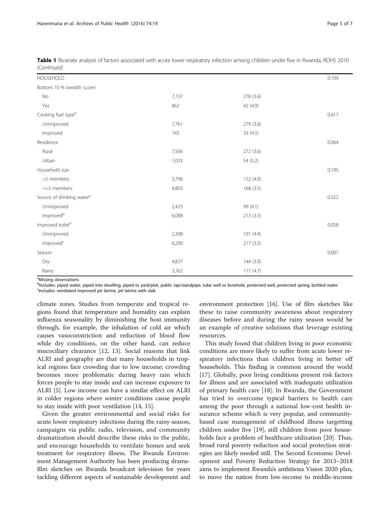| HOUSEHOLD                             |       |           | 0.109 |
|---------------------------------------|-------|-----------|-------|
| Bottom 10 % (wealth score)            |       |           |       |
| No                                    | 7,737 | 278 (3.6) |       |
| Yes                                   | 862   | 42 (4.9)  |       |
| Cooking fuel type <sup>a</sup>        |       |           | 0.417 |
| Unimproved                            | 7,761 | 279 (3.6) |       |
| Improved                              | 743   | 33 (4.5)  |       |
| Residence                             |       |           | 0.064 |
| Rural                                 | 7,566 | 272 (3.6) |       |
| Urban                                 | 1,033 | 54 (5.2)  |       |
| Household size                        |       |           | 0.195 |
| >5 members                            | 3,796 | 152 (4.0) |       |
| $<=5$ members                         | 4,803 | 168 (3.5) |       |
| Source of drinking water <sup>a</sup> |       |           | 0.322 |
| Unimproved                            | 2,423 | 99 (4.1)  |       |
| Improved <sup>b</sup>                 | 6,088 | 213 (3.5) |       |
| Improved toilet <sup>a</sup>          |       |           | 0.058 |
| Unimproved                            | 2,308 | 101(4.4)  |       |
| Improved <sup>c</sup>                 | 6,200 | 217(3.5)  |       |
| Season                                |       |           | 0.001 |
| Dry                                   | 4,837 | 144(3.0)  |       |
| Rainy                                 | 3,762 | 177(4.7)  |       |

Table 1 Bivariate analysis of factors associated with acute lower respiratory infection among children under five in Rwanda, RDHS 2010 (Continued)

<sup>a</sup>Missing observations

b<sub>includes:</sub> piped water, piped into dwelling, piped to yard/plot, public tap/standpipe, tube well or borehole, protected well, protected spring, bottled water<br>Sincludes: ventilated improved pit latring ait latring with sl <sup>c</sup>Includes: ventilated improved pit latrine, pit latrine with slab

climate zones. Studies from temperate and tropical regions found that temperature and humidity can explain influenza seasonality by diminishing the host immunity through, for example, the inhalation of cold air which causes vasoconstriction and reduction of blood flow while dry conditions, on the other hand, can reduce mucociliary clearance [[12](#page-6-0), [13\]](#page-6-0). Social reasons that link ALRI and geography are that many households in tropical regions face crowding due to low income; crowding becomes more problematic during heavy rain which forces people to stay inside and can increase exposure to ALRI [[5\]](#page-6-0). Low income can have a similar effect on ALRI in colder regions where winter conditions cause people to stay inside with poor ventilation [\[14, 15\]](#page-6-0).

Given the greater environmental and social risks for acute lower respiratory infections during the rainy season, campaigns via public radio, television, and community dramatization should describe these risks to the public, and encourage households to ventilate homes and seek treatment for respiratory illness. The Rwanda Environment Management Authority has been producing dramafilm sketches on Rwanda broadcast television for years tackling different aspects of sustainable development and environment protection [\[16\]](#page-6-0). Use of film sketches like these to raise community awareness about respiratory diseases before and during the rainy season would be an example of creative solutions that leverage existing resources.

This study found that children living in poor economic conditions are more likely to suffer from acute lower respiratory infections than children living in better off households. This finding is common around the world [[17\]](#page-6-0). Globally, poor living conditions present risk factors for illness and are associated with inadequate utilization of primary health care [[18\]](#page-6-0). In Rwanda, the Government has tried to overcome typical barriers to health care among the poor through a national low-cost health insurance scheme which is very popular, and communitybased case management of childhood illness targetting children under five [[19](#page-6-0)], still children from poor households face a problem of healthcare utilization [\[20\]](#page-6-0). Thus, broad rural poverty reduction and social protection strategies are likely needed still. The Second Economic Development and Poverty Reduction Strategy for 2013–2018 aims to implement Rwanda's ambitious Vision 2020 plan, to move the nation from low-income to middle-income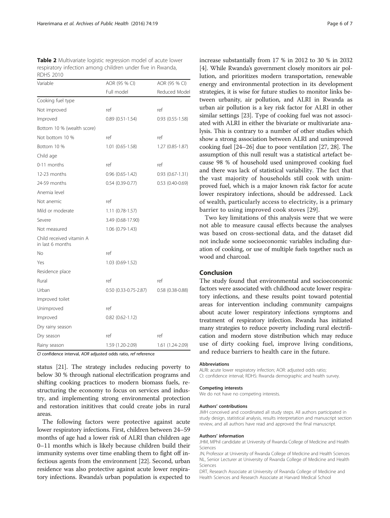<span id="page-5-0"></span>Table 2 Multivariate logistic regression model of acute lower respiratory infection among children under five in Rwanda, RDHS 2010

| Variable                                     | AOR (95 % CI)                 | AOR (95 % CI)          |  |
|----------------------------------------------|-------------------------------|------------------------|--|
|                                              | Full model                    | Reduced Model          |  |
| Cooking fuel type                            |                               |                        |  |
| Not improved                                 | ref                           | ref                    |  |
| Improved                                     | $0.89(0.51-1.54)$             | $0.93$ $(0.55 - 1.58)$ |  |
| Bottom 10 % (wealth score)                   |                               |                        |  |
| Not bottom 10 %                              | ref                           | ref                    |  |
| Bottom 10 %                                  | $1.01(0.65-1.58)$             | 1.27 (0.85-1.87)       |  |
| Child age                                    |                               |                        |  |
| 0-11 months                                  | ref                           | ref                    |  |
| 12-23 months                                 | $0.96$ $(0.65 - 1.42)$        | $0.93(0.67-1.31)$      |  |
| 24-59 months                                 | $0.54(0.39-0.77)$             | $0.53$ $(0.40 - 0.69)$ |  |
| Anemia level                                 |                               |                        |  |
| Not anemic                                   | ref                           |                        |  |
| Mild or moderate                             | $1.11(0.78-1.57)$             |                        |  |
| Severe                                       | 3.49 (0.68-17.90)             |                        |  |
| Not measured                                 | 1.06 (0.79-1.43)              |                        |  |
| Child received vitamin A<br>in last 6 months |                               |                        |  |
| No                                           | ref                           |                        |  |
| Yes                                          | 1.03 (0.69-1.52)              |                        |  |
| Residence place                              |                               |                        |  |
| Rural                                        | ref                           | ref                    |  |
| Urban                                        | $0.50$ $(0.33 - 0.75 - 2.87)$ | $0.58(0.38-0.88)$      |  |
| Improved toilet                              |                               |                        |  |
| Unimproved                                   | ref                           |                        |  |
| Improved                                     | $0.82$ $(0.62 - 1.12)$        |                        |  |
| Dry rainy season                             |                               |                        |  |
| Dry season                                   | ref                           | ref                    |  |
| Rainy season                                 | 1.59 (1.20-2.09)              | 1.61 (1.24-2.09)       |  |

CI confidence interval, AOR adjusted odds ratio, ref reference

status [[21](#page-6-0)]. The strategy includes reducing poverty to below 30 % through national electrification programs and shifting cooking practices to modern biomass fuels, restructuring the economy to focus on services and industry, and implementing strong environmental protection and restoration inititives that could create jobs in rural areas.

The following factors were protective against acute lower respiratory infections. First, children between 24–59 months of age had a lower risk of ALRI than children age 0–11 months which is likely because children build their immunity systems over time enabling them to fight off infectious agents from the environment [[22\]](#page-6-0). Second, urban residence was also protective against acute lower respiratory infections. Rwanda's urban population is expected to

increase substantially from 17 % in 2012 to 30 % in 2032 [[4\]](#page-6-0). While Rwanda's government closely monitors air pollution, and prioritizes modern transportation, renewable energy and environmental protection in its development strategies, it is wise for future studies to monitor links between urbanity, air pollution, and ALRI in Rwanda as urban air pollution is a key risk factor for ALRI in other similar settings [[23](#page-6-0)]. Type of cooking fuel was not associated with ALRI in either the bivariate or multivariate analysis. This is contrary to a number of other studies which show a strong association between ALRI and unimproved cooking fuel [\[24](#page-6-0)–[26](#page-6-0)] due to poor ventilation [\[27, 28](#page-6-0)]. The assumption of this null result was a statistical artefact because 98 % of household used unimproved cooking fuel and there was lack of statistical variability. The fact that the vast majority of households still cook with unimproved fuel, which is a major known risk factor for acute lower respiratory infections, should be addressed. Lack of wealth, particularly access to electricity, is a primary barrier to using improved cook stoves [[29\]](#page-6-0).

Two key limitations of this analysis were that we were not able to measure causal effects because the analyses was based on cross-sectional data, and the dataset did not include some socioeconomic variables including duration of cooking, or use of multiple fuels together such as wood and charcoal.

### Conclusion

The study found that environmental and socioeconomic factors were associated with childhood acute lower respiratory infections, and these results point toward potential areas for intervention including community campaigns about acute lower respiratory infections symptoms and treatment of respiratory infection. Rwanda has initiated many strategies to reduce poverty including rural electrification and modern stove distribution which may reduce use of dirty cooking fuel, improve living conditions, and reduce barriers to health care in the future.

#### Abbreviations

ALRI: acute lower respiratory infection; AOR: adjusted odds ratio; CI: confidence interval; RDHS: Rwanda demographic and health survey.

#### Competing interests

We do not have no competing interests.

#### Authors' contributions

JMH conceived and coordinated all study steps. All authors participated in study design, statistical analysis, results interpretation and manuscript section review, and all authors have read and approved the final manuscript.

#### Authors' information

JHM, MPhil candidate at University of Rwanda College of Medicine and Health Sciences

JN, Professor at University of Rwanda College of Medicine and Health Sciences NL, Senior Lecturer at University of Rwanda College of Medicine and Health Sciences

DRT, Research Associate at University of Rwanda College of Medicine and Health Sciences and Research Associate at Harvard Medical School